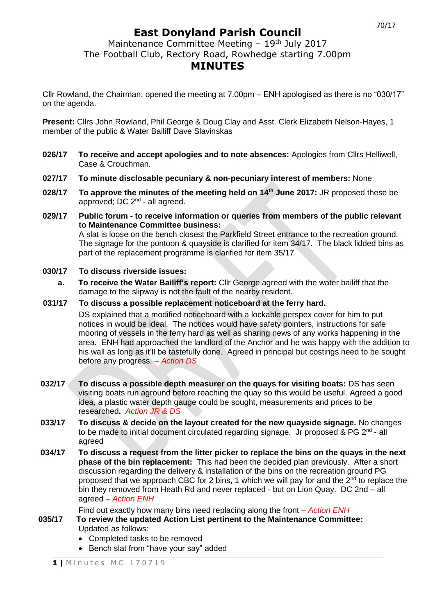# **East Donyland Parish Council**

Maintenance Committee Meeting - 19<sup>th</sup> July 2017 The Football Club, Rectory Road, Rowhedge starting 7.00pm

### **MINUTES**

Cllr Rowland, the Chairman, opened the meeting at 7.00pm – ENH apologised as there is no "030/17" on the agenda.

**Present:** Cllrs John Rowland, Phil George & Doug Clay and Asst. Clerk Elizabeth Nelson-Hayes, 1 member of the public & Water Bailiff Dave Slavinskas

- **026/17 To receive and accept apologies and to note absences:** Apologies from Cllrs Helliwell, Case & Crouchman.
- **027/17 To minute disclosable pecuniary & non-pecuniary interest of members:** None
- **028/17 To approve the minutes of the meeting held on 14th June 2017:** JR proposed these be approved; DC 2<sup>nd</sup> - all agreed.
- **029/17 Public forum - to receive information or queries from members of the public relevant to Maintenance Committee business:** A slat is loose on the bench closest the Parkfield Street entrance to the recreation ground. The signage for the pontoon & quayside is clarified for item 34/17. The black lidded bins as part of the replacement programme is clarified for item 35/17

#### **030/17 To discuss riverside issues:**

- **a. To receive the Water Bailiff's report:** Cllr George agreed with the water bailiff that the damage to the slipway is not the fault of the nearby resident.
- **031/17 To discuss a possible replacement noticeboard at the ferry hard.**

DS explained that a modified noticeboard with a lockable perspex cover for him to put notices in would be ideal. The notices would have safety pointers, instructions for safe mooring of vessels in the ferry hard as well as sharing news of any works happening in the area. ENH had approached the landlord of the Anchor and he was happy with the addition to his wall as long as it'll be tastefully done. Agreed in principal but costings need to be sought before any progress. *– Action DS*

- **032/17 To discuss a possible depth measurer on the quays for visiting boats:** DS has seen visiting boats run aground before reaching the quay so this would be useful. Agreed a good idea, a plastic water depth gauge could be sought, measurements and prices to be researched**.** *Action JR & DS*
- **033/17 To discuss & decide on the layout created for the new quayside signage.** No changes to be made to initial document circulated regarding signage. Jr proposed & PG 2<sup>nd</sup> - all agreed
- **034/17 To discuss a request from the litter picker to replace the bins on the quays in the next phase of the bin replacement:** This had been the decided plan previously. After a short discussion regarding the delivery & installation of the bins on the recreation ground PG proposed that we approach CBC for 2 bins, 1 which we will pay for and the  $2^{nd}$  to replace the bin they removed from Heath Rd and never replaced - but on Lion Quay. DC 2nd – all agreed *– Action ENH*

Find out exactly how many bins need replacing along the front *– Action ENH*

- **035/17 To review the updated Action List pertinent to the Maintenance Committee:** Updated as follows:
	- Completed tasks to be removed
	- Bench slat from "have your say" added